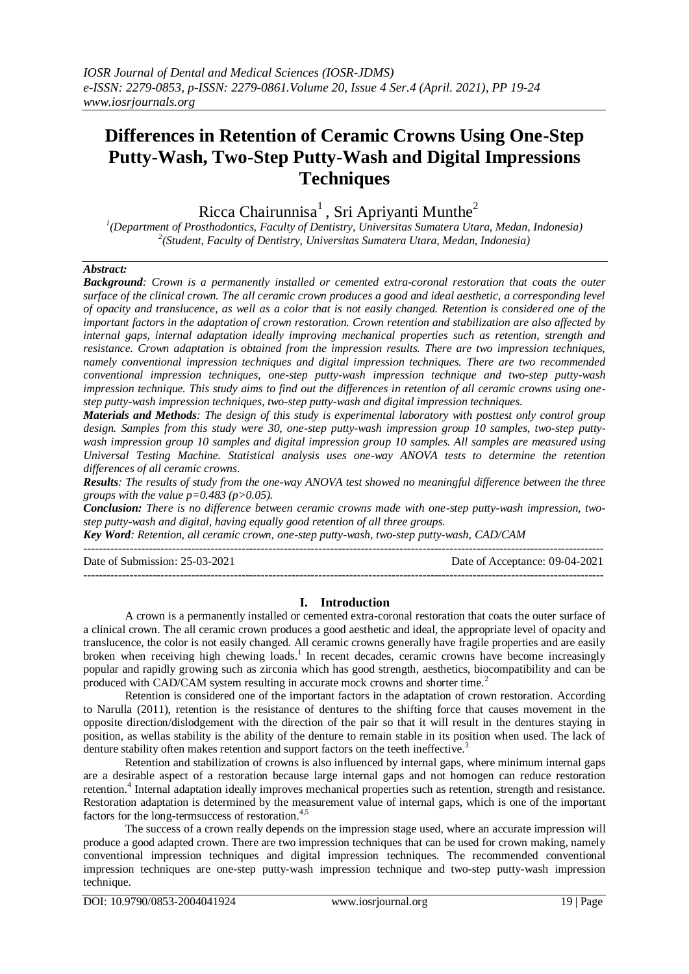# **Differences in Retention of Ceramic Crowns Using One-Step Putty-Wash, Two-Step Putty-Wash and Digital Impressions Techniques**

Ricca Chairunnisa<sup>1</sup>, Sri Apriyanti Munthe<sup>2</sup>

*1 (Department of Prosthodontics, Faculty of Dentistry, Universitas Sumatera Utara, Medan, Indonesia) 2 (Student, Faculty of Dentistry, Universitas Sumatera Utara, Medan, Indonesia)* 

### *Abstract:*

*Background: Crown is a permanently installed or cemented extra-coronal restoration that coats the outer surface of the clinical crown. The all ceramic crown produces a good and ideal aesthetic, a corresponding level of opacity and translucence, as well as a color that is not easily changed. Retention is considered one of the important factors in the adaptation of crown restoration. Crown retention and stabilization are also affected by internal gaps, internal adaptation ideally improving mechanical properties such as retention, strength and resistance. Crown adaptation is obtained from the impression results. There are two impression techniques, namely conventional impression techniques and digital impression techniques. There are two recommended conventional impression techniques, one-step putty-wash impression technique and two-step putty-wash impression technique. This study aims to find out the differences in retention of all ceramic crowns using onestep putty-wash impression techniques, two-step putty-wash and digital impression techniques.*

*Materials and Methods: The design of this study is experimental laboratory with posttest only control group design. Samples from this study were 30, one-step putty-wash impression group 10 samples, two-step puttywash impression group 10 samples and digital impression group 10 samples. All samples are measured using Universal Testing Machine. Statistical analysis uses one-way ANOVA tests to determine the retention differences of all ceramic crowns.* 

*Results: The results of study from the one-way ANOVA test showed no meaningful difference between the three groups with the value p=0.483 (p>0.05).*

*Conclusion: There is no difference between ceramic crowns made with one-step putty-wash impression, twostep putty-wash and digital, having equally good retention of all three groups.*

*Key Word: Retention, all ceramic crown, one-step putty-wash, two-step putty-wash, CAD/CAM* ---------------------------------------------------------------------------------------------------------------------------------------

Date of Submission: 25-03-2021 Date of Acceptance: 09-04-2021 ---------------------------------------------------------------------------------------------------------------------------------------

#### **I. Introduction**

A crown is a permanently installed or cemented extra-coronal restoration that coats the outer surface of a clinical crown. The all ceramic crown produces a good aesthetic and ideal, the appropriate level of opacity and translucence, the color is not easily changed. All ceramic crowns generally have fragile properties and are easily broken when receiving high chewing loads.<sup>1</sup> In recent decades, ceramic crowns have become increasingly popular and rapidly growing such as zirconia which has good strength, aesthetics, biocompatibility and can be produced with CAD/CAM system resulting in accurate mock crowns and shorter time.<sup>2</sup>

Retention is considered one of the important factors in the adaptation of crown restoration. According to Narulla (2011), retention is the resistance of dentures to the shifting force that causes movement in the opposite direction/dislodgement with the direction of the pair so that it will result in the dentures staying in position, as wellas stability is the ability of the denture to remain stable in its position when used. The lack of denture stability often makes retention and support factors on the teeth ineffective.<sup>3</sup>

Retention and stabilization of crowns is also influenced by internal gaps, where minimum internal gaps are a desirable aspect of a restoration because large internal gaps and not homogen can reduce restoration retention.<sup>4</sup> Internal adaptation ideally improves mechanical properties such as retention, strength and resistance. Restoration adaptation is determined by the measurement value of internal gaps, which is one of the important factors for the long-termsuccess of restoration. $4,5$ 

The success of a crown really depends on the impression stage used, where an accurate impression will produce a good adapted crown. There are two impression techniques that can be used for crown making, namely conventional impression techniques and digital impression techniques. The recommended conventional impression techniques are one-step putty-wash impression technique and two-step putty-wash impression technique.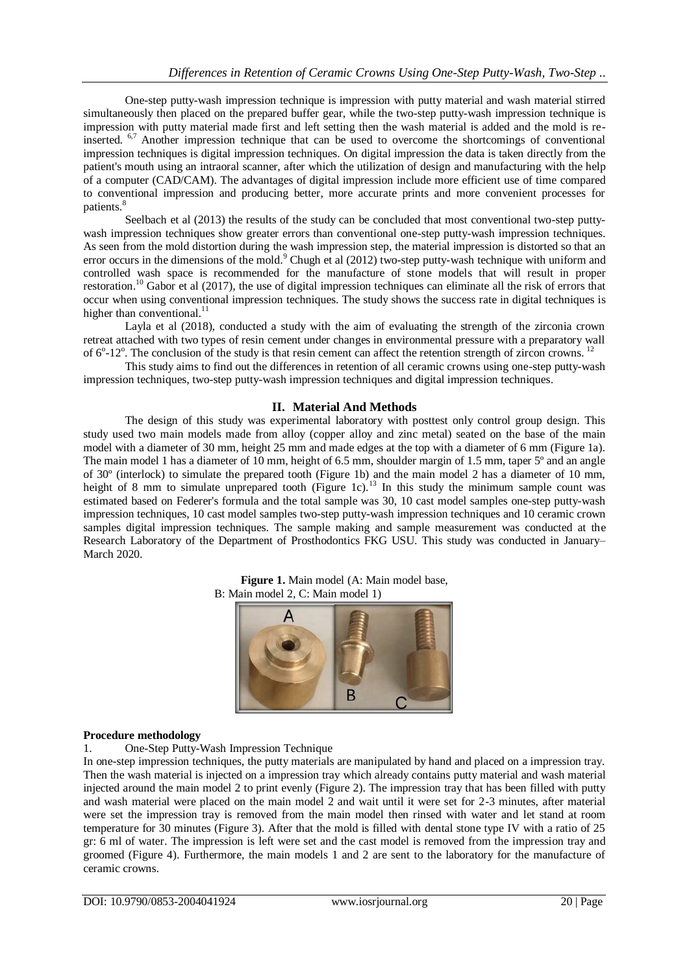One-step putty-wash impression technique is impression with putty material and wash material stirred simultaneously then placed on the prepared buffer gear, while the two-step putty-wash impression technique is impression with putty material made first and left setting then the wash material is added and the mold is reinserted. 6,7 Another impression technique that can be used to overcome the shortcomings of conventional impression techniques is digital impression techniques. On digital impression the data is taken directly from the patient's mouth using an intraoral scanner, after which the utilization of design and manufacturing with the help of a computer (CAD/CAM). The advantages of digital impression include more efficient use of time compared to conventional impression and producing better, more accurate prints and more convenient processes for patients.<sup>8</sup>

Seelbach et al (2013) the results of the study can be concluded that most conventional two-step puttywash impression techniques show greater errors than conventional one-step putty-wash impression techniques. As seen from the mold distortion during the wash impression step, the material impression is distorted so that an error occurs in the dimensions of the mold.<sup>9</sup> Chugh et al (2012) two-step putty-wash technique with uniform and controlled wash space is recommended for the manufacture of stone models that will result in proper restoration.<sup>10</sup> Gabor et al (2017), the use of digital impression techniques can eliminate all the risk of errors that occur when using conventional impression techniques. The study shows the success rate in digital techniques is higher than conventional. $^{11}$ 

Layla et al (2018), conducted a study with the aim of evaluating the strength of the zirconia crown retreat attached with two types of resin cement under changes in environmental pressure with a preparatory wall of  $6^{\circ}$ -12°. The conclusion of the study is that resin cement can affect the retention strength of zircon crowns. <sup>12</sup>

This study aims to find out the differences in retention of all ceramic crowns using one-step putty-wash impression techniques, two-step putty-wash impression techniques and digital impression techniques.

# **II. Material And Methods**

The design of this study was experimental laboratory with posttest only control group design. This study used two main models made from alloy (copper alloy and zinc metal) seated on the base of the main model with a diameter of 30 mm, height 25 mm and made edges at the top with a diameter of 6 mm (Figure 1a). The main model 1 has a diameter of 10 mm, height of 6.5 mm, shoulder margin of 1.5 mm, taper 5<sup>°</sup> and an angle of 30º (interlock) to simulate the prepared tooth (Figure 1b) and the main model 2 has a diameter of 10 mm, height of 8 mm to simulate unprepared tooth (Figure 1c).<sup>13</sup> In this study the minimum sample count was estimated based on Federer's formula and the total sample was 30, 10 cast model samples one-step putty-wash impression techniques, 10 cast model samples two-step putty-wash impression techniques and 10 ceramic crown samples digital impression techniques. The sample making and sample measurement was conducted at the Research Laboratory of the Department of Prosthodontics FKG USU. This study was conducted in January– March 2020.





#### **Procedure methodology**

1. One-Step Putty-Wash Impression Technique

In one-step impression techniques, the putty materials are manipulated by hand and placed on a impression tray. Then the wash material is injected on a impression tray which already contains putty material and wash material injected around the main model 2 to print evenly (Figure 2). The impression tray that has been filled with putty and wash material were placed on the main model 2 and wait until it were set for 2-3 minutes, after material were set the impression tray is removed from the main model then rinsed with water and let stand at room temperature for 30 minutes (Figure 3). After that the mold is filled with dental stone type IV with a ratio of 25 gr: 6 ml of water. The impression is left were set and the cast model is removed from the impression tray and groomed (Figure 4). Furthermore, the main models 1 and 2 are sent to the laboratory for the manufacture of ceramic crowns.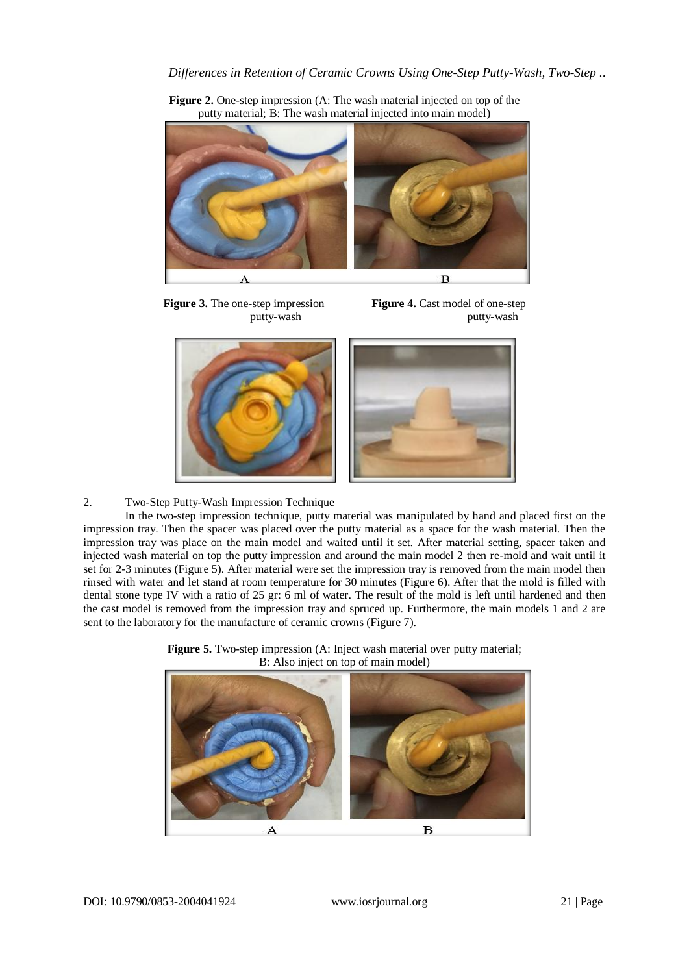**Figure 2.** One-step impression (A: The wash material injected on top of the putty material; B: The wash material injected into main model)



**Figure 3.** The one-step impression **Figure 4.** Cast model of one-step

putty-wash putty-wash



2. Two-Step Putty-Wash Impression Technique

In the two-step impression technique, putty material was manipulated by hand and placed first on the impression tray. Then the spacer was placed over the putty material as a space for the wash material. Then the impression tray was place on the main model and waited until it set. After material setting, spacer taken and injected wash material on top the putty impression and around the main model 2 then re-mold and wait until it set for 2-3 minutes (Figure 5). After material were set the impression tray is removed from the main model then rinsed with water and let stand at room temperature for 30 minutes (Figure 6). After that the mold is filled with dental stone type IV with a ratio of 25 gr: 6 ml of water. The result of the mold is left until hardened and then the cast model is removed from the impression tray and spruced up. Furthermore, the main models 1 and 2 are sent to the laboratory for the manufacture of ceramic crowns (Figure 7).

**Figure 5.** Two-step impression (A: Inject wash material over putty material; B: Also inject on top of main model)

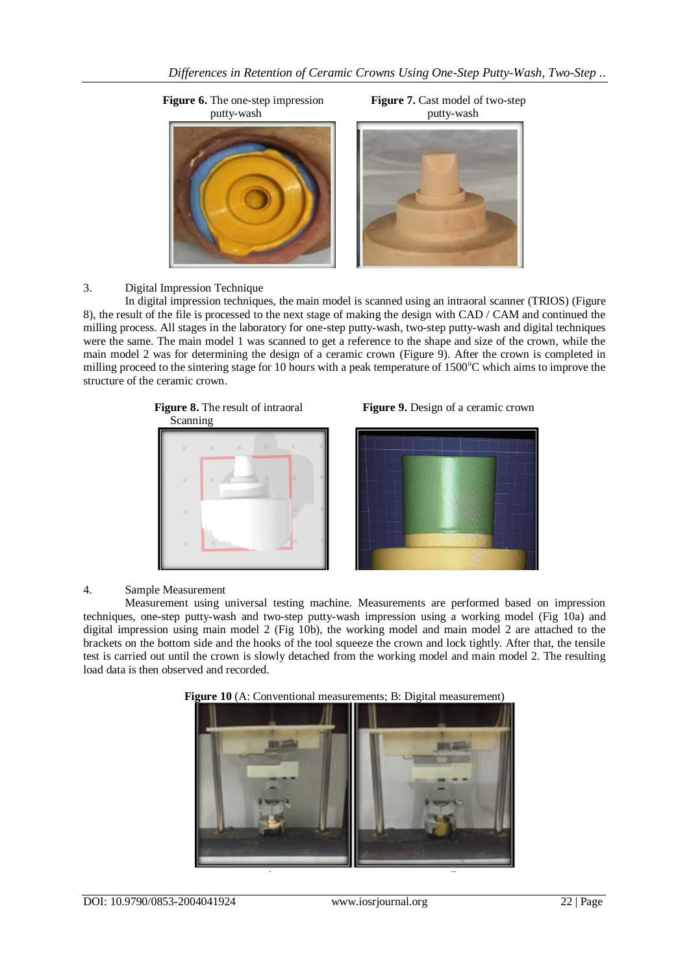

3. Digital Impression Technique

In digital impression techniques, the main model is scanned using an intraoral scanner (TRIOS) (Figure 8), the result of the file is processed to the next stage of making the design with CAD / CAM and continued the milling process. All stages in the laboratory for one-step putty-wash, two-step putty-wash and digital techniques were the same. The main model 1 was scanned to get a reference to the shape and size of the crown, while the main model 2 was for determining the design of a ceramic crown (Figure 9). After the crown is completed in milling proceed to the sintering stage for 10 hours with a peak temperature of  $1500^{\circ}$ C which aims to improve the structure of the ceramic crown.









## 4. Sample Measurement

Measurement using universal testing machine. Measurements are performed based on impression techniques, one-step putty-wash and two-step putty-wash impression using a working model (Fig 10a) and digital impression using main model 2 (Fig 10b), the working model and main model 2 are attached to the brackets on the bottom side and the hooks of the tool squeeze the crown and lock tightly. After that, the tensile test is carried out until the crown is slowly detached from the working model and main model 2. The resulting load data is then observed and recorded.



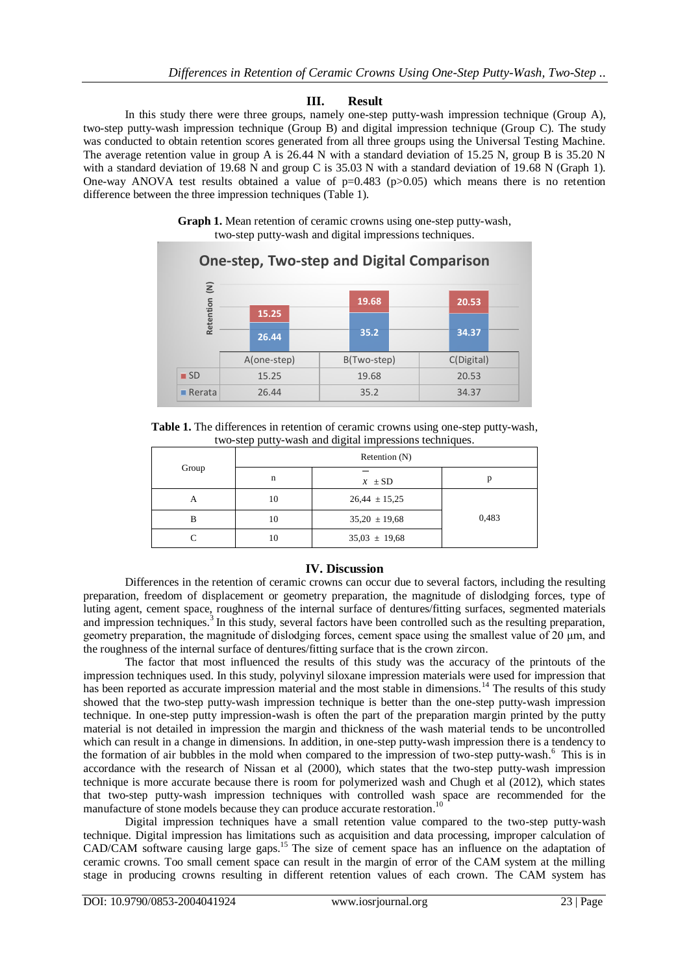## **III. Result**

In this study there were three groups, namely one-step putty-wash impression technique (Group A), two-step putty-wash impression technique (Group B) and digital impression technique (Group C). The study was conducted to obtain retention scores generated from all three groups using the Universal Testing Machine. The average retention value in group A is 26.44 N with a standard deviation of 15.25 N, group B is 35.20 N with a standard deviation of 19.68 N and group C is 35.03 N with a standard deviation of 19.68 N (Graph 1). One-way ANOVA test results obtained a value of  $p=0.483$  ( $p>0.05$ ) which means there is no retention difference between the three impression techniques (Table 1).





**Table 1.** The differences in retention of ceramic crowns using one-step putty-wash, two-step putty-wash and digital impressions techniques.

| Group | Retention $(N)$ |                   |       |
|-------|-----------------|-------------------|-------|
|       | n               | $x \pm SD$        |       |
| A     | 10              | $26,44 \pm 15,25$ |       |
| В     | 10              | $35,20 \pm 19,68$ | 0,483 |
|       | 10              | $35,03 \pm 19,68$ |       |

### **IV. Discussion**

Differences in the retention of ceramic crowns can occur due to several factors, including the resulting preparation, freedom of displacement or geometry preparation, the magnitude of dislodging forces, type of luting agent, cement space, roughness of the internal surface of dentures/fitting surfaces, segmented materials and impression techniques.<sup>3</sup> In this study, several factors have been controlled such as the resulting preparation, geometry preparation, the magnitude of dislodging forces, cement space using the smallest value of 20 μm, and the roughness of the internal surface of dentures/fitting surface that is the crown zircon.

The factor that most influenced the results of this study was the accuracy of the printouts of the impression techniques used. In this study, polyvinyl siloxane impression materials were used for impression that has been reported as accurate impression material and the most stable in dimensions.<sup>14</sup> The results of this study showed that the two-step putty-wash impression technique is better than the one-step putty-wash impression technique. In one-step putty impression**-**wash is often the part of the preparation margin printed by the putty material is not detailed in impression the margin and thickness of the wash material tends to be uncontrolled which can result in a change in dimensions. In addition, in one-step putty**-**wash impression there is a tendency to the formation of air bubbles in the mold when compared to the impression of two-step putty-wash.<sup>6</sup> This is in accordance with the research of Nissan et al (2000), which states that the two-step putty-wash impression technique is more accurate because there is room for polymerized wash and Chugh et al (2012), which states that two-step putty-wash impression techniques with controlled wash space are recommended for the manufacture of stone models because they can produce accurate restoration.<sup>10</sup>

Digital impression techniques have a small retention value compared to the two-step putty-wash technique. Digital impression has limitations such as acquisition and data processing, improper calculation of CAD/CAM software causing large gaps.<sup>15</sup> The size of cement space has an influence on the adaptation of ceramic crowns. Too small cement space can result in the margin of error of the CAM system at the milling stage in producing crowns resulting in different retention values of each crown. The CAM system has